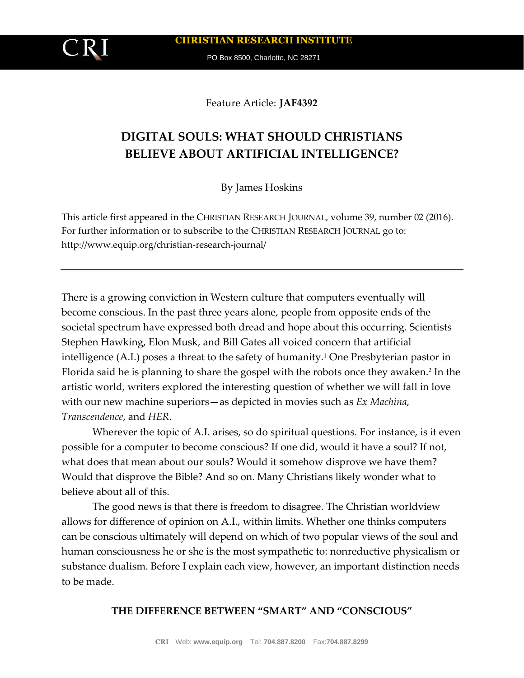PO Box 8500, Charlotte, NC 28271

Feature Article: **JAF4392**

# **DIGITAL SOULS: WHAT SHOULD CHRISTIANS BELIEVE ABOUT ARTIFICIAL INTELLIGENCE?**

By James Hoskins

This article first appeared in the CHRISTIAN RESEARCH JOURNAL, volume 39, number 02 (2016). For further information or to subscribe to the CHRISTIAN RESEARCH JOURNAL go to: http://www.equip.org/christian-research-journal/

There is a growing conviction in Western culture that computers eventually will become conscious. In the past three years alone, people from opposite ends of the societal spectrum have expressed both dread and hope about this occurring. Scientists Stephen Hawking, Elon Musk, and Bill Gates all voiced concern that artificial intelligence (A.I.) poses a threat to the safety of humanity.<sup>1</sup> One Presbyterian pastor in Florida said he is planning to share the gospel with the robots once they awaken.<sup>2</sup> In the artistic world, writers explored the interesting question of whether we will fall in love with our new machine superiors—as depicted in movies such as *Ex Machina*, *Transcendence*, and *HER*.

Wherever the topic of A.I. arises, so do spiritual questions. For instance, is it even possible for a computer to become conscious? If one did, would it have a soul? If not, what does that mean about our souls? Would it somehow disprove we have them? Would that disprove the Bible? And so on. Many Christians likely wonder what to believe about all of this.

The good news is that there is freedom to disagree. The Christian worldview allows for difference of opinion on A.I., within limits. Whether one thinks computers can be conscious ultimately will depend on which of two popular views of the soul and human consciousness he or she is the most sympathetic to: nonreductive physicalism or substance dualism. Before I explain each view, however, an important distinction needs to be made.

#### **THE DIFFERENCE BETWEEN "SMART" AND "CONSCIOUS"**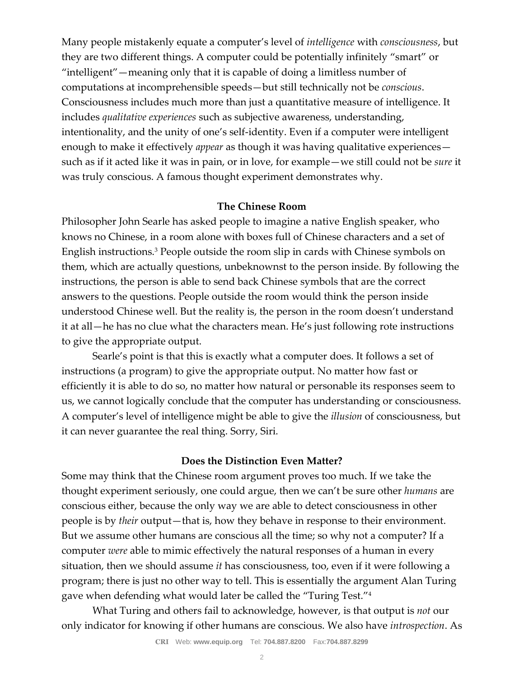Many people mistakenly equate a computer's level of *intelligence* with *consciousness*, but they are two different things. A computer could be potentially infinitely "smart" or "intelligent"—meaning only that it is capable of doing a limitless number of computations at incomprehensible speeds—but still technically not be *conscious*. Consciousness includes much more than just a quantitative measure of intelligence. It includes *qualitative experiences* such as subjective awareness, understanding, intentionality, and the unity of one's self-identity. Even if a computer were intelligent enough to make it effectively *appear* as though it was having qualitative experiences such as if it acted like it was in pain, or in love, for example—we still could not be *sure* it was truly conscious. A famous thought experiment demonstrates why.

### **The Chinese Room**

Philosopher John Searle has asked people to imagine a native English speaker, who knows no Chinese, in a room alone with boxes full of Chinese characters and a set of English instructions.<sup>3</sup> People outside the room slip in cards with Chinese symbols on them, which are actually questions, unbeknownst to the person inside. By following the instructions, the person is able to send back Chinese symbols that are the correct answers to the questions. People outside the room would think the person inside understood Chinese well. But the reality is, the person in the room doesn't understand it at all—he has no clue what the characters mean. He's just following rote instructions to give the appropriate output.

Searle's point is that this is exactly what a computer does. It follows a set of instructions (a program) to give the appropriate output. No matter how fast or efficiently it is able to do so, no matter how natural or personable its responses seem to us, we cannot logically conclude that the computer has understanding or consciousness. A computer's level of intelligence might be able to give the *illusion* of consciousness, but it can never guarantee the real thing. Sorry, Siri.

#### **Does the Distinction Even Matter?**

Some may think that the Chinese room argument proves too much. If we take the thought experiment seriously, one could argue, then we can't be sure other *humans* are conscious either, because the only way we are able to detect consciousness in other people is by *their* output—that is, how they behave in response to their environment. But we assume other humans are conscious all the time; so why not a computer? If a computer *were* able to mimic effectively the natural responses of a human in every situation, then we should assume *it* has consciousness, too, even if it were following a program; there is just no other way to tell. This is essentially the argument Alan Turing gave when defending what would later be called the "Turing Test."<sup>4</sup>

What Turing and others fail to acknowledge, however, is that output is *not* our only indicator for knowing if other humans are conscious. We also have *introspection*. As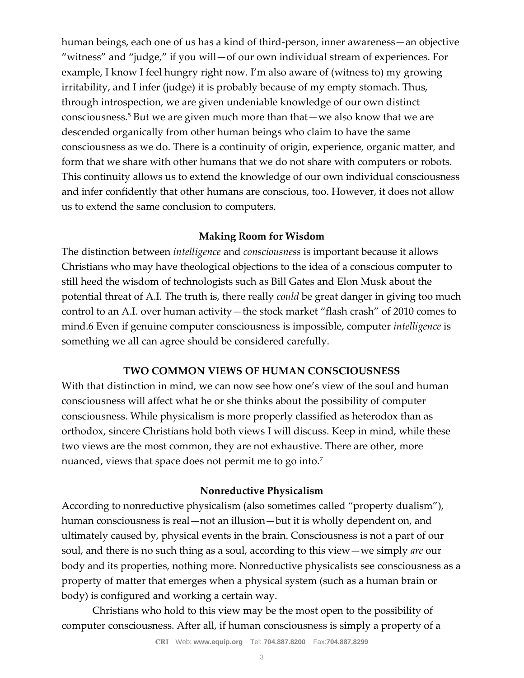human beings, each one of us has a kind of third-person, inner awareness—an objective "witness" and "judge," if you will—of our own individual stream of experiences. For example, I know I feel hungry right now. I'm also aware of (witness to) my growing irritability, and I infer (judge) it is probably because of my empty stomach. Thus, through introspection, we are given undeniable knowledge of our own distinct consciousness.<sup>5</sup> But we are given much more than that—we also know that we are descended organically from other human beings who claim to have the same consciousness as we do. There is a continuity of origin, experience, organic matter, and form that we share with other humans that we do not share with computers or robots. This continuity allows us to extend the knowledge of our own individual consciousness and infer confidently that other humans are conscious, too. However, it does not allow us to extend the same conclusion to computers.

## **Making Room for Wisdom**

The distinction between *intelligence* and *consciousness* is important because it allows Christians who may have theological objections to the idea of a conscious computer to still heed the wisdom of technologists such as Bill Gates and Elon Musk about the potential threat of A.I. The truth is, there really *could* be great danger in giving too much control to an A.I. over human activity—the stock market "flash crash" of 2010 comes to mind.6 Even if genuine computer consciousness is impossible, computer *intelligence* is something we all can agree should be considered carefully.

#### **TWO COMMON VIEWS OF HUMAN CONSCIOUSNESS**

With that distinction in mind, we can now see how one's view of the soul and human consciousness will affect what he or she thinks about the possibility of computer consciousness. While physicalism is more properly classified as heterodox than as orthodox, sincere Christians hold both views I will discuss. Keep in mind, while these two views are the most common, they are not exhaustive. There are other, more nuanced, views that space does not permit me to go into.<sup>7</sup>

## **Nonreductive Physicalism**

According to nonreductive physicalism (also sometimes called "property dualism"), human consciousness is real—not an illusion—but it is wholly dependent on, and ultimately caused by, physical events in the brain. Consciousness is not a part of our soul, and there is no such thing as a soul, according to this view—we simply *are* our body and its properties, nothing more. Nonreductive physicalists see consciousness as a property of matter that emerges when a physical system (such as a human brain or body) is configured and working a certain way.

Christians who hold to this view may be the most open to the possibility of computer consciousness. After all, if human consciousness is simply a property of a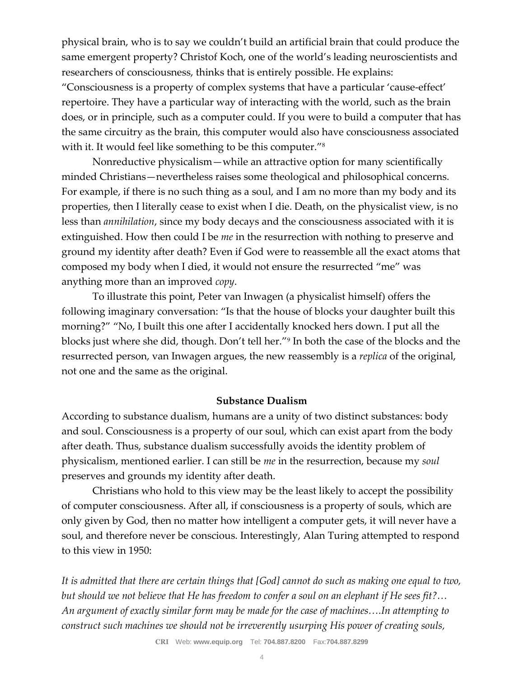physical brain, who is to say we couldn't build an artificial brain that could produce the same emergent property? Christof Koch, one of the world's leading neuroscientists and researchers of consciousness, thinks that is entirely possible. He explains:

"Consciousness is a property of complex systems that have a particular 'cause-effect' repertoire. They have a particular way of interacting with the world, such as the brain does, or in principle, such as a computer could. If you were to build a computer that has the same circuitry as the brain, this computer would also have consciousness associated with it. It would feel like something to be this computer."<sup>8</sup>

Nonreductive physicalism—while an attractive option for many scientifically minded Christians—nevertheless raises some theological and philosophical concerns. For example, if there is no such thing as a soul, and I am no more than my body and its properties, then I literally cease to exist when I die. Death, on the physicalist view, is no less than *annihilation*, since my body decays and the consciousness associated with it is extinguished. How then could I be *me* in the resurrection with nothing to preserve and ground my identity after death? Even if God were to reassemble all the exact atoms that composed my body when I died, it would not ensure the resurrected "me" was anything more than an improved *copy*.

To illustrate this point, Peter van Inwagen (a physicalist himself) offers the following imaginary conversation: "Is that the house of blocks your daughter built this morning?" "No, I built this one after I accidentally knocked hers down. I put all the blocks just where she did, though. Don't tell her."<sup>9</sup> In both the case of the blocks and the resurrected person, van Inwagen argues, the new reassembly is a *replica* of the original, not one and the same as the original.

## **Substance Dualism**

According to substance dualism, humans are a unity of two distinct substances: body and soul. Consciousness is a property of our soul, which can exist apart from the body after death. Thus, substance dualism successfully avoids the identity problem of physicalism, mentioned earlier. I can still be *me* in the resurrection, because my *soul*  preserves and grounds my identity after death.

Christians who hold to this view may be the least likely to accept the possibility of computer consciousness. After all, if consciousness is a property of souls, which are only given by God, then no matter how intelligent a computer gets, it will never have a soul, and therefore never be conscious. Interestingly, Alan Turing attempted to respond to this view in 1950:

*It is admitted that there are certain things that [God] cannot do such as making one equal to two, but should we not believe that He has freedom to confer a soul on an elephant if He sees fit?… An argument of exactly similar form may be made for the case of machines….In attempting to construct such machines we should not be irreverently usurping His power of creating souls,*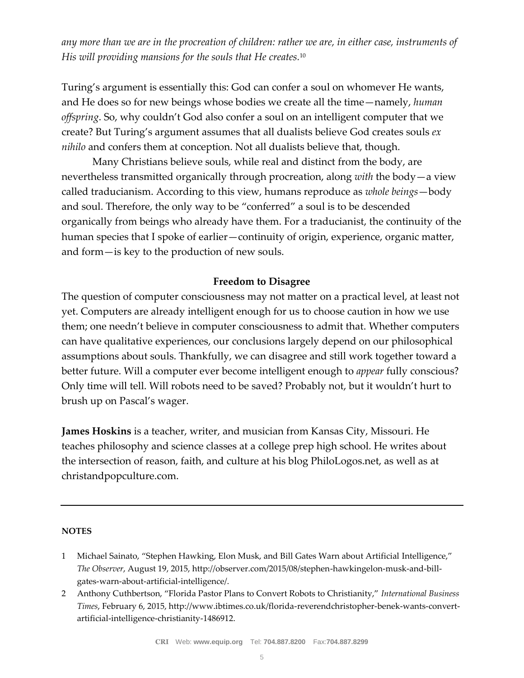*any more than we are in the procreation of children: rather we are, in either case, instruments of His will providing mansions for the souls that He creates.*<sup>10</sup>

Turing's argument is essentially this: God can confer a soul on whomever He wants, and He does so for new beings whose bodies we create all the time—namely, *human offspring*. So, why couldn't God also confer a soul on an intelligent computer that we create? But Turing's argument assumes that all dualists believe God creates souls *ex nihilo* and confers them at conception. Not all dualists believe that, though.

Many Christians believe souls, while real and distinct from the body, are nevertheless transmitted organically through procreation, along *with* the body—a view called traducianism. According to this view, humans reproduce as *whole beings*—body and soul. Therefore, the only way to be "conferred" a soul is to be descended organically from beings who already have them. For a traducianist, the continuity of the human species that I spoke of earlier—continuity of origin, experience, organic matter, and form—is key to the production of new souls.

## **Freedom to Disagree**

The question of computer consciousness may not matter on a practical level, at least not yet. Computers are already intelligent enough for us to choose caution in how we use them; one needn't believe in computer consciousness to admit that. Whether computers can have qualitative experiences, our conclusions largely depend on our philosophical assumptions about souls. Thankfully, we can disagree and still work together toward a better future. Will a computer ever become intelligent enough to *appear* fully conscious? Only time will tell. Will robots need to be saved? Probably not, but it wouldn't hurt to brush up on Pascal's wager.

**James Hoskins** is a teacher, writer, and musician from Kansas City, Missouri. He teaches philosophy and science classes at a college prep high school. He writes about the intersection of reason, faith, and culture at his blog PhiloLogos.net, as well as at christandpopculture.com.

#### **NOTES**

- 1 Michael Sainato, "Stephen Hawking, Elon Musk, and Bill Gates Warn about Artificial Intelligence," *The Observer*, August 19, 2015, http://observer.com/2015/08/stephen-hawkingelon-musk-and-billgates-warn-about-artificial-intelligence/.
- 2 Anthony Cuthbertson, "Florida Pastor Plans to Convert Robots to Christianity," *International Business Times*, February 6, 2015, http://www.ibtimes.co.uk/florida-reverendchristopher-benek-wants-convertartificial-intelligence-christianity-1486912.